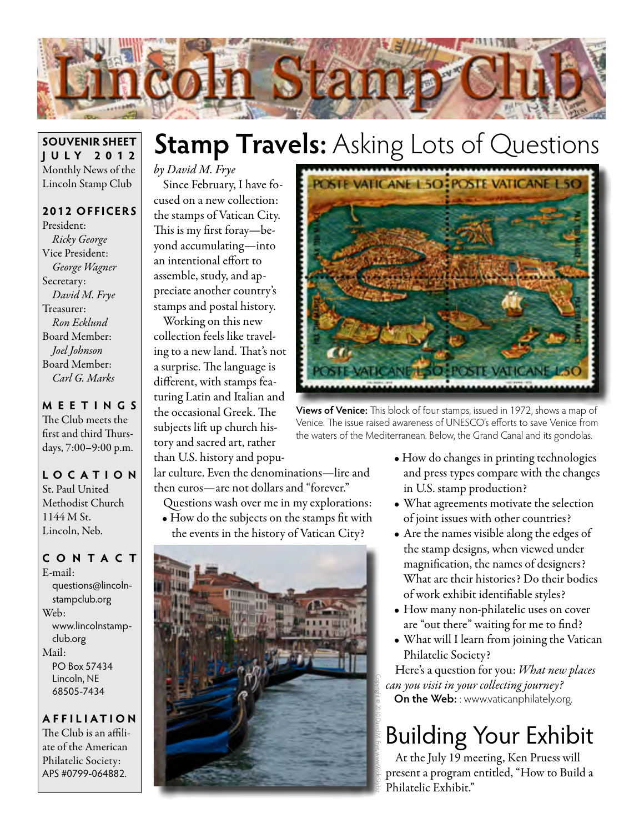

#### **SOUVENIR SHEET JU LY 2012** Monthly News of the Lincoln Stamp Club

**2012 OFFICERS** President: *Ricky George* Vice President: *George Wagner* Secretary: *David M. Frye* Treasurer: *Ron Ecklund* Board Member: *Joel Johnson* Board Member: *Carl G. Marks*

**MEETINGS** The Club meets the first and third Thursdays, 7:00–9:00 p.m.

#### **LO C ATI O N** St. Paul United Methodist Church 1144 M St. Lincoln, Neb.

**CONTACT** E-mail: questions@lincolnstampclub.org Web: www.lincolnstampclub.org Mail: PO Box 57434 Lincoln, NE 68505-7434

**AFFI LIATI O N** The Club is an affiliate of the American Philatelic Society: APS #0799-064882.

# **Stamp Travels:** Asking Lots of Questions

## *by David M. Frye*

Since February, I have focused on a new collection: the stamps of Vatican City. This is my first foray—beyond accumulating—into an intentional effort to assemble, study, and appreciate another country's stamps and postal history.

Working on this new collection feels like traveling to a new land. That's not a surprise. The language is different, with stamps featuring Latin and Italian and the occasional Greek. The subjects lift up church history and sacred art, rather than U.S. history and popu-

lar culture. Even the denominations—lire and then euros—are not dollars and "forever."

Questions wash over me in my explorations:

• How do the subjects on the stamps fit with





**Views of Venice:** This block of four stamps, issued in 1972, shows a map of Venice. The issue raised awareness of UNESCO's efforts to save Venice from the waters of the Mediterranean. Below, the Grand Canal and its gondolas.

- How do changes in printing technologies and press types compare with the changes in U.S. stamp production?
- What agreements motivate the selection of joint issues with other countries?
- Are the names visible along the edges of the stamp designs, when viewed under magnification, the names of designers? What are their histories? Do their bodies of work exhibit identifiable styles?
- How many non-philatelic uses on cover are "out there" waiting for me to find?
- What will I learn from joining the Vatican Philatelic Society?

Here's a question for you: *What new places can you visit in your collecting journey?* **On the Web:** : www.vaticanphilately.org.

# Building Your Exhibit

At the July 19 meeting, Ken Pruess will present a program entitled, "How to Build a Philatelic Exhibit."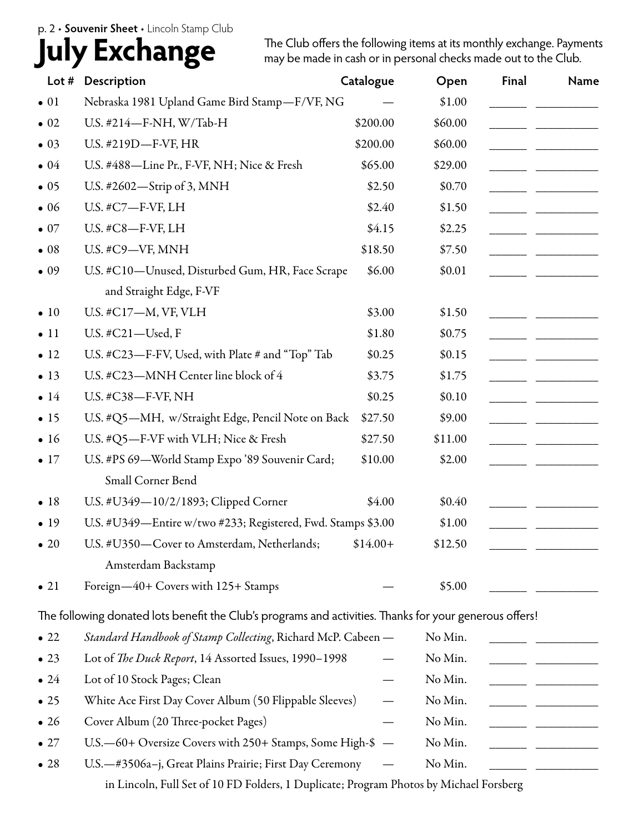#### p. 2 • **Souvenir Sheet** • Lincoln Stamp Club

## **July Exchange**

The Club offers the following items at its monthly exchange. Payments may be made in cash or in personal checks made out to the Club.

| Lot #        | Description                                                                                             | Catalogue                | Open    | Final | Name                          |
|--------------|---------------------------------------------------------------------------------------------------------|--------------------------|---------|-------|-------------------------------|
| $\bullet$ 01 | Nebraska 1981 Upland Game Bird Stamp-F/VF, NG                                                           |                          | \$1.00  |       |                               |
| $\bullet$ 02 | U.S. #214-F-NH, W/Tab-H                                                                                 | \$200.00                 | \$60.00 |       |                               |
| $\bullet$ 03 | U.S. #219D-F-VF, HR                                                                                     | \$200.00                 | \$60.00 |       |                               |
| $\bullet$ 04 | U.S. #488-Line Pr., F-VF, NH; Nice & Fresh                                                              | \$65.00                  | \$29.00 |       |                               |
| $\bullet$ 05 | U.S. #2602-Strip of 3, MNH                                                                              | \$2.50                   | \$0.70  |       |                               |
| $\bullet$ 06 | U.S. #C7-F-VF, LH                                                                                       | \$2.40                   | \$1.50  |       |                               |
| $\bullet$ 07 | U.S. #C8-F-VF, LH                                                                                       | \$4.15                   | \$2.25  |       |                               |
| $\bullet$ 08 | U.S. #C9-VF, MNH                                                                                        | \$18.50                  | \$7.50  |       |                               |
| $\bullet$ 09 | U.S. #C10-Unused, Disturbed Gum, HR, Face Scrape                                                        | \$6.00                   | \$0.01  |       |                               |
|              | and Straight Edge, F-VF                                                                                 |                          |         |       |                               |
| $\bullet$ 10 | U.S. #C17-M, VF, VLH                                                                                    | \$3.00                   | \$1.50  |       |                               |
| $\bullet$ 11 | U.S. #C21-Used, F                                                                                       | \$1.80                   | \$0.75  |       |                               |
| $\bullet$ 12 | U.S. #C23-F-FV, Used, with Plate # and "Top" Tab                                                        | \$0.25                   | \$0.15  |       |                               |
| $\bullet$ 13 | U.S. #C23-MNH Center line block of 4                                                                    | \$3.75                   | \$1.75  |       |                               |
| $\bullet$ 14 | U.S. #C38-F-VF, NH                                                                                      | \$0.25                   | \$0.10  |       |                               |
| $\bullet$ 15 | U.S. #Q5-MH, w/Straight Edge, Pencil Note on Back                                                       | \$27.50                  | \$9.00  |       |                               |
| $\bullet$ 16 | U.S. #Q5-F-VF with VLH; Nice & Fresh                                                                    | \$27.50                  | \$11.00 |       |                               |
| $\bullet$ 17 | U.S. #PS 69-World Stamp Expo '89 Souvenir Card;                                                         | \$10.00                  | \$2.00  |       |                               |
|              | Small Corner Bend                                                                                       |                          |         |       |                               |
| $\bullet$ 18 | U.S. #U349-10/2/1893; Clipped Corner                                                                    | \$4.00                   | \$0.40  |       |                               |
| $\bullet$ 19 | U.S. #U349-Entire w/two #233; Registered, Fwd. Stamps \$3.00                                            |                          | \$1.00  |       |                               |
| $\bullet$ 20 | U.S. #U350—Cover to Amsterdam, Netherlands;                                                             | $$14.00+$                | \$12.50 |       |                               |
|              | Amsterdam Backstamp                                                                                     |                          |         |       |                               |
| $\bullet$ 21 | Foreign-40+ Covers with 125+ Stamps                                                                     |                          | \$5.00  |       |                               |
|              | The following donated lots benefit the Club's programs and activities. Thanks for your generous offers! |                          |         |       |                               |
| $\bullet$ 22 | Standard Handbook of Stamp Collecting, Richard McP. Cabeen -                                            |                          | No Min. |       |                               |
| $\bullet$ 23 | Lot of The Duck Report, 14 Assorted Issues, 1990-1998                                                   |                          | No Min. |       |                               |
| $\bullet$ 24 | Lot of 10 Stock Pages; Clean                                                                            |                          | No Min. |       | the control of the control of |
| $\bullet$ 25 | White Ace First Day Cover Album (50 Flippable Sleeves)                                                  |                          | No Min. |       |                               |
| $\bullet$ 26 | Cover Album (20 Three-pocket Pages)                                                                     |                          | No Min. |       |                               |
| $\bullet$ 27 | U.S. -60+ Oversize Covers with 250+ Stamps, Some High-\$                                                | $\overline{\phantom{m}}$ | No Min. |       |                               |
| $\bullet$ 28 | U.S.-#3506a-j, Great Plains Prairie; First Day Ceremony                                                 |                          | No Min. |       |                               |

in Lincoln, Full Set of 10 FD Folders, 1 Duplicate; Program Photos by Michael Forsberg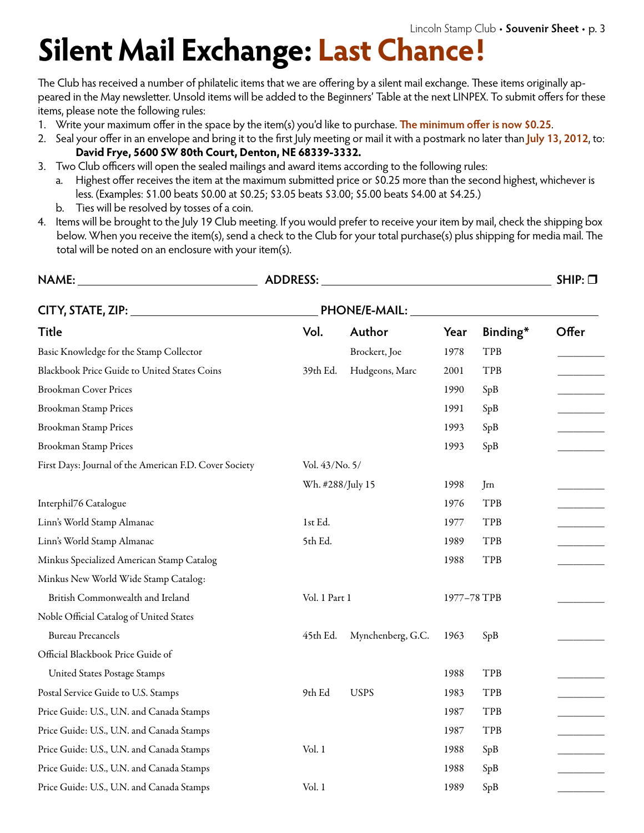# **Silent Mail Exchange: Last Chance!**

The Club has received a number of philatelic items that we are offering by a silent mail exchange. These items originally appeared in the May newsletter. Unsold items will be added to the Beginners' Table at the next LINPEX. To submit offers for these items, please note the following rules:

- 1. Write your maximum offer in the space by the item(s) you'd like to purchase. **The minimum offer is now \$0.25**.
- 2. Seal your offer in an envelope and bring it to the first July meeting or mail it with a postmark no later than **July 13, 2012**, to:  **David Frye, 5600 SW 80th Court, Denton, NE 68339-3332.**
- 3. Two Club officers will open the sealed mailings and award items according to the following rules:
	- a. Highest offer receives the item at the maximum submitted price or \$0.25 more than the second highest, whichever is less. (Examples: \$1.00 beats \$0.00 at \$0.25; \$3.05 beats \$3.00; \$5.00 beats \$4.00 at \$4.25.)
	- b. Ties will be resolved by tosses of a coin.
- 4. Items will be brought to the July 19 Club meeting. If you would prefer to receive your item by mail, check the shipping box below. When you receive the item(s), send a check to the Club for your total purchase(s) plus shipping for media mail. The total will be noted on an enclosure with your item(s).

| <b>NAME:</b>                                           | <b>ADDRESS:</b> |                   |      |             | $SHIP: \Box$ |
|--------------------------------------------------------|-----------------|-------------------|------|-------------|--------------|
| CITY, STATE, ZIP: 1990                                 | PHONE/E-MAIL:   |                   |      |             |              |
| <b>Title</b>                                           | Vol.            | Author            | Year | Binding*    | Offer        |
| Basic Knowledge for the Stamp Collector                |                 | Brockert, Joe     | 1978 | TPB         |              |
| Blackbook Price Guide to United States Coins           | 39th Ed.        | Hudgeons, Marc    | 2001 | TPB         |              |
| <b>Brookman Cover Prices</b>                           |                 |                   | 1990 | SpB         |              |
| <b>Brookman Stamp Prices</b>                           |                 |                   | 1991 | SpB         |              |
| <b>Brookman Stamp Prices</b>                           |                 |                   | 1993 | SpB         |              |
| <b>Brookman Stamp Prices</b>                           |                 |                   | 1993 | SpB         |              |
| First Days: Journal of the American F.D. Cover Society | Vol. 43/No. 5/  |                   |      |             |              |
|                                                        |                 | Wh. #288/July 15  |      | Jrn         |              |
| Interphil76 Catalogue                                  |                 |                   | 1976 | TPB         |              |
| Linn's World Stamp Almanac                             | 1st Ed.         |                   | 1977 | TPB         |              |
| Linn's World Stamp Almanac                             | 5th Ed.         |                   | 1989 | TPB         |              |
| Minkus Specialized American Stamp Catalog              |                 |                   | 1988 | TPB         |              |
| Minkus New World Wide Stamp Catalog:                   |                 |                   |      |             |              |
| British Commonwealth and Ireland                       |                 | Vol. 1 Part 1     |      | 1977-78 TPB |              |
| Noble Official Catalog of United States                |                 |                   |      |             |              |
| <b>Bureau Precancels</b>                               | 45th Ed.        | Mynchenberg, G.C. | 1963 | SpB         |              |
| Official Blackbook Price Guide of                      |                 |                   |      |             |              |
| <b>United States Postage Stamps</b>                    |                 |                   | 1988 | TPB         |              |
| Postal Service Guide to U.S. Stamps                    | 9th Ed          | <b>USPS</b>       | 1983 | TPB         |              |
| Price Guide: U.S., U.N. and Canada Stamps              |                 |                   | 1987 | TPB         |              |
| Price Guide: U.S., U.N. and Canada Stamps              |                 |                   | 1987 | TPB         |              |
| Price Guide: U.S., U.N. and Canada Stamps              | Vol. 1          |                   | 1988 | SpB         |              |
| Price Guide: U.S., U.N. and Canada Stamps              |                 |                   | 1988 | SpB         |              |
| Price Guide: U.S., U.N. and Canada Stamps              | Vol. 1          |                   | 1989 | SpB         |              |
|                                                        |                 |                   |      |             |              |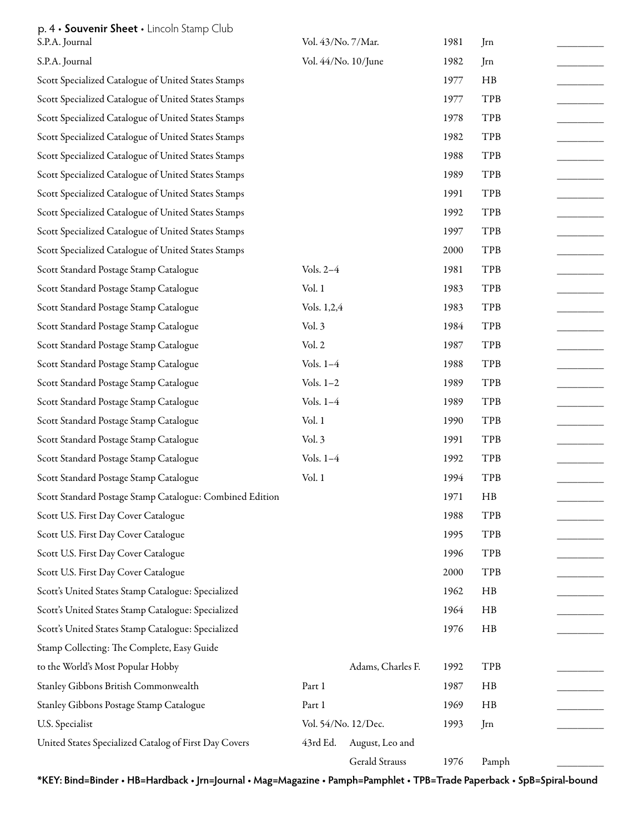## p. 4 • **Souvenir Sheet** • Lincoln Stamp Club

| S.P.A. Journal                                           | Vol. 43/No. 7/Mar.  |                   | 1981 | Jrn   |  |
|----------------------------------------------------------|---------------------|-------------------|------|-------|--|
| S.P.A. Journal                                           | Vol. 44/No. 10/June |                   | 1982 | Jrn   |  |
| Scott Specialized Catalogue of United States Stamps      |                     |                   | 1977 | HB    |  |
| Scott Specialized Catalogue of United States Stamps      |                     |                   | 1977 | TPB   |  |
| Scott Specialized Catalogue of United States Stamps      |                     |                   | 1978 | TPB   |  |
| Scott Specialized Catalogue of United States Stamps      |                     |                   | 1982 | TPB   |  |
| Scott Specialized Catalogue of United States Stamps      |                     |                   | 1988 | TPB   |  |
| Scott Specialized Catalogue of United States Stamps      |                     |                   | 1989 | TPB   |  |
| Scott Specialized Catalogue of United States Stamps      |                     |                   | 1991 | TPB   |  |
| Scott Specialized Catalogue of United States Stamps      |                     |                   | 1992 | TPB   |  |
| Scott Specialized Catalogue of United States Stamps      |                     |                   | 1997 | TPB   |  |
| Scott Specialized Catalogue of United States Stamps      |                     |                   | 2000 | TPB   |  |
| Scott Standard Postage Stamp Catalogue                   | Vols. 2-4           |                   | 1981 | TPB   |  |
| Scott Standard Postage Stamp Catalogue                   | Vol.1               |                   | 1983 | TPB   |  |
| Scott Standard Postage Stamp Catalogue                   | Vols. 1,2,4         |                   | 1983 | TPB   |  |
| Scott Standard Postage Stamp Catalogue                   | Vol. 3              |                   | 1984 | TPB   |  |
| Scott Standard Postage Stamp Catalogue                   | Vol. 2              |                   | 1987 | TPB   |  |
| Scott Standard Postage Stamp Catalogue                   | Vols. $1-4$         |                   | 1988 | TPB   |  |
| Scott Standard Postage Stamp Catalogue                   | Vols. $1-2$         |                   | 1989 | TPB   |  |
| Scott Standard Postage Stamp Catalogue                   | Vols. 1-4           |                   | 1989 | TPB   |  |
| Scott Standard Postage Stamp Catalogue                   | Vol.1               |                   | 1990 | TPB   |  |
| Scott Standard Postage Stamp Catalogue                   | Vol. 3              |                   | 1991 | TPB   |  |
| Scott Standard Postage Stamp Catalogue                   | Vols. $1-4$         |                   | 1992 | TPB   |  |
| Scott Standard Postage Stamp Catalogue                   | Vol.1               |                   | 1994 | TPB   |  |
| Scott Standard Postage Stamp Catalogue: Combined Edition |                     |                   | 1971 | HB    |  |
| Scott U.S. First Day Cover Catalogue                     |                     |                   | 1988 | TPB   |  |
| Scott U.S. First Day Cover Catalogue                     |                     |                   | 1995 | TPB   |  |
| Scott U.S. First Day Cover Catalogue                     |                     |                   | 1996 | TPB   |  |
| Scott U.S. First Day Cover Catalogue                     |                     |                   | 2000 | TPB   |  |
| Scott's United States Stamp Catalogue: Specialized       |                     |                   | 1962 | HB    |  |
| Scott's United States Stamp Catalogue: Specialized       |                     |                   | 1964 | HB    |  |
| Scott's United States Stamp Catalogue: Specialized       |                     |                   | 1976 | HB    |  |
| Stamp Collecting: The Complete, Easy Guide               |                     |                   |      |       |  |
| to the World's Most Popular Hobby                        |                     | Adams, Charles F. | 1992 | TPB   |  |
| Stanley Gibbons British Commonwealth                     | Part 1              |                   | 1987 | HB    |  |
| Stanley Gibbons Postage Stamp Catalogue                  | Part 1              |                   | 1969 | HB    |  |
| U.S. Specialist                                          | Vol. 54/No. 12/Dec. |                   | 1993 | Jrn   |  |
| United States Specialized Catalog of First Day Covers    | 43rd Ed.            | August, Leo and   |      |       |  |
|                                                          |                     | Gerald Strauss    | 1976 | Pamph |  |

**\*KEY: Bind=Binder • HB=Hardback • Jrn=Journal • Mag=Magazine • Pamph=Pamphlet • TPB=Trade Paperback • SpB=Spiral-bound**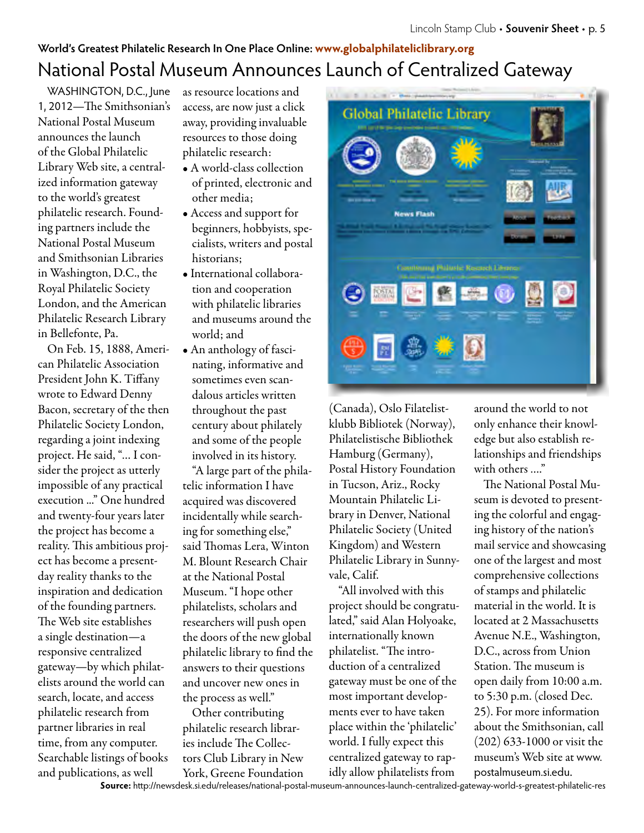## **World's Greatest Philatelic Research In One Place Online: www.globalphilateliclibrary.org** National Postal Museum Announces Launch of Centralized Gateway

WASHINGTON, D.C., June 1, 2012—The Smithsonian's National Postal Museum announces the launch of the Global Philatelic Library Web site, a centralized information gateway to the world's greatest philatelic research. Founding partners include the National Postal Museum and Smithsonian Libraries in Washington, D.C., the Royal Philatelic Society London, and the American Philatelic Research Library in Bellefonte, Pa.

On Feb. 15, 1888, American Philatelic Association President John K. Tiffany wrote to Edward Denny Bacon, secretary of the then Philatelic Society London, regarding a joint indexing project. He said, "… I consider the project as utterly impossible of any practical execution ..." One hundred and twenty-four years later the project has become a reality. This ambitious project has become a presentday reality thanks to the inspiration and dedication of the founding partners. The Web site establishes a single destination—a responsive centralized gateway—by which philatelists around the world can search, locate, and access philatelic research from partner libraries in real time, from any computer. Searchable listings of books and publications, as well

as resource locations and access, are now just a click away, providing invaluable resources to those doing philatelic research:

- A world-class collection of printed, electronic and other media;
- Access and support for beginners, hobbyists, specialists, writers and postal historians;
- International collaboration and cooperation with philatelic libraries and museums around the world; and
- An anthology of fascinating, informative and sometimes even scandalous articles written throughout the past century about philately and some of the people involved in its history.

"A large part of the philatelic information I have acquired was discovered incidentally while searching for something else," said Thomas Lera, Winton M. Blount Research Chair at the National Postal Museum. "I hope other philatelists, scholars and researchers will push open the doors of the new global philatelic library to find the answers to their questions and uncover new ones in the process as well."

Other contributing philatelic research libraries include The Collectors Club Library in New York, Greene Foundation



(Canada), Oslo Filatelistklubb Bibliotek (Norway), Philatelistische Bibliothek Hamburg (Germany), Postal History Foundation in Tucson, Ariz., Rocky Mountain Philatelic Library in Denver, National Philatelic Society (United Kingdom) and Western Philatelic Library in Sunnyvale, Calif.

"All involved with this project should be congratulated," said Alan Holyoake, internationally known philatelist. "The introduction of a centralized gateway must be one of the most important developments ever to have taken place within the 'philatelic' world. I fully expect this centralized gateway to rapidly allow philatelists from

around the world to not only enhance their knowledge but also establish relationships and friendships with others …."

The National Postal Museum is devoted to presenting the colorful and engaging history of the nation's mail service and showcasing one of the largest and most comprehensive collections of stamps and philatelic material in the world. It is located at 2 Massachusetts Avenue N.E., Washington, D.C., across from Union Station. The museum is open daily from 10:00 a.m. to 5:30 p.m. (closed Dec. 25). For more information about the Smithsonian, call (202) 633-1000 or visit the museum's Web site at www. postalmuseum.si.edu.

**Source:** http://newsdesk.si.edu/releases/national-postal-museum-announces-launch-centralized-gateway-world-s-greatest-philatelic-res